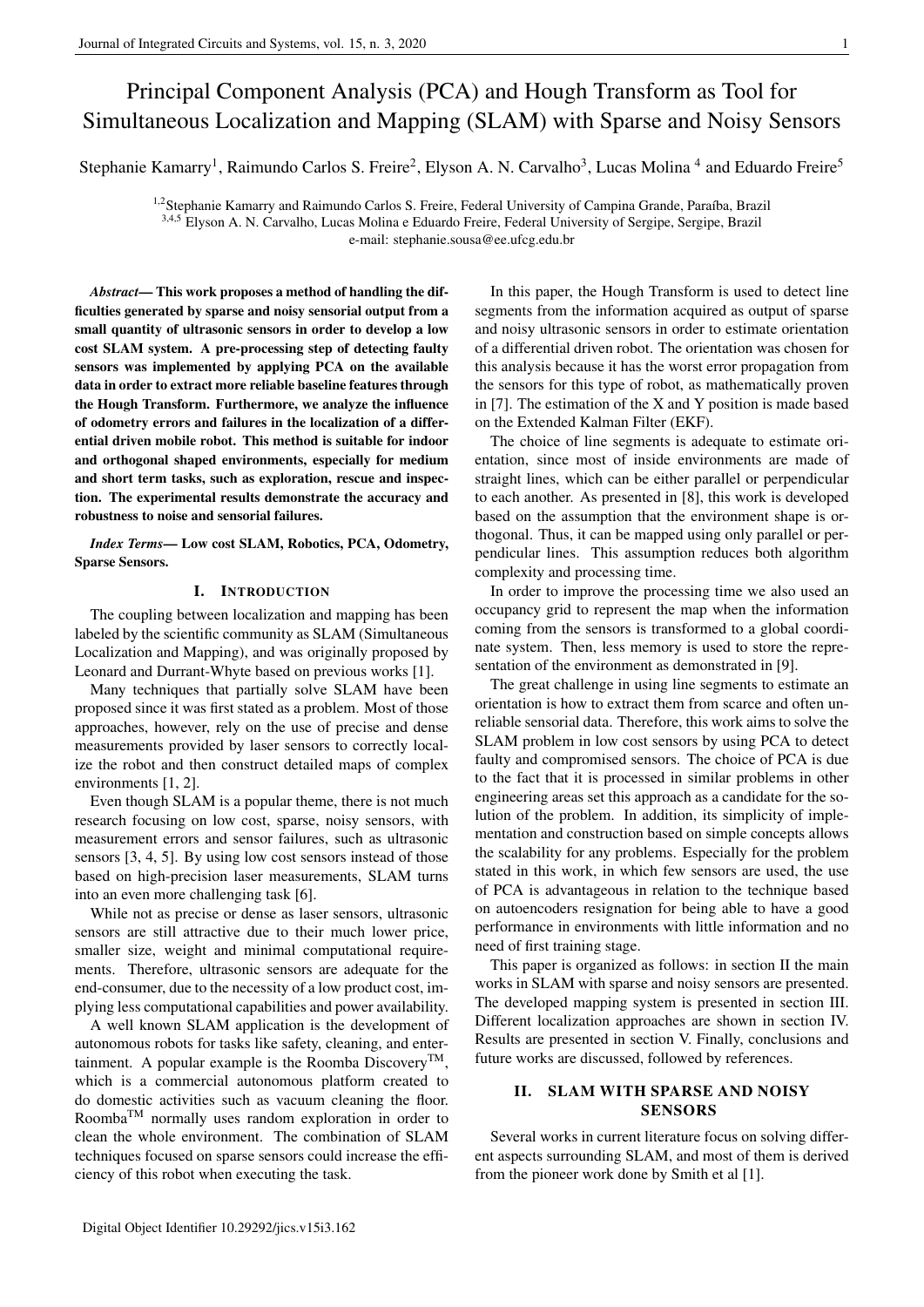# Principal Component Analysis (PCA) and Hough Transform as Tool for Simultaneous Localization and Mapping (SLAM) with Sparse and Noisy Sensors

Stephanie Kamarry<sup>1</sup>, Raimundo Carlos S. Freire<sup>2</sup>, Elyson A. N. Carvalho<sup>3</sup>, Lucas Molina<sup>4</sup> and Eduardo Freire<sup>5</sup>

<sup>1,2</sup> Stephanie Kamarry and Raimundo Carlos S. Freire, Federal University of Campina Grande, Paraíba, Brazil <sup>3,4,5</sup> Elyson A. N. Carvalho, Lucas Molina e Eduardo Freire, Federal University of Sergipe, Sergipe, Brazil e-mail: stephanie.sousa@ee.ufcg.edu.br

*Abstract*— This work proposes a method of handling the difficulties generated by sparse and noisy sensorial output from a small quantity of ultrasonic sensors in order to develop a low cost SLAM system. A pre-processing step of detecting faulty sensors was implemented by applying PCA on the available data in order to extract more reliable baseline features through the Hough Transform. Furthermore, we analyze the influence of odometry errors and failures in the localization of a differential driven mobile robot. This method is suitable for indoor and orthogonal shaped environments, especially for medium and short term tasks, such as exploration, rescue and inspection. The experimental results demonstrate the accuracy and robustness to noise and sensorial failures.

*Index Terms*— Low cost SLAM, Robotics, PCA, Odometry, Sparse Sensors.

#### I. INTRODUCTION

The coupling between localization and mapping has been labeled by the scientific community as SLAM (Simultaneous Localization and Mapping), and was originally proposed by Leonard and Durrant-Whyte based on previous works [1].

Many techniques that partially solve SLAM have been proposed since it was first stated as a problem. Most of those approaches, however, rely on the use of precise and dense measurements provided by laser sensors to correctly localize the robot and then construct detailed maps of complex environments [1, 2].

Even though SLAM is a popular theme, there is not much research focusing on low cost, sparse, noisy sensors, with measurement errors and sensor failures, such as ultrasonic sensors [3, 4, 5]. By using low cost sensors instead of those based on high-precision laser measurements, SLAM turns into an even more challenging task [6].

While not as precise or dense as laser sensors, ultrasonic sensors are still attractive due to their much lower price, smaller size, weight and minimal computational requirements. Therefore, ultrasonic sensors are adequate for the end-consumer, due to the necessity of a low product cost, implying less computational capabilities and power availability.

A well known SLAM application is the development of autonomous robots for tasks like safety, cleaning, and entertainment. A popular example is the Roomba Discovery<sup>TM</sup>, which is a commercial autonomous platform created to do domestic activities such as vacuum cleaning the floor. Roomba<sup>TM</sup> normally uses random exploration in order to clean the whole environment. The combination of SLAM techniques focused on sparse sensors could increase the efficiency of this robot when executing the task.

In this paper, the Hough Transform is used to detect line segments from the information acquired as output of sparse and noisy ultrasonic sensors in order to estimate orientation of a differential driven robot. The orientation was chosen for this analysis because it has the worst error propagation from the sensors for this type of robot, as mathematically proven in [7]. The estimation of the X and Y position is made based on the Extended Kalman Filter (EKF).

The choice of line segments is adequate to estimate orientation, since most of inside environments are made of straight lines, which can be either parallel or perpendicular to each another. As presented in [8], this work is developed based on the assumption that the environment shape is orthogonal. Thus, it can be mapped using only parallel or perpendicular lines. This assumption reduces both algorithm complexity and processing time.

In order to improve the processing time we also used an occupancy grid to represent the map when the information coming from the sensors is transformed to a global coordinate system. Then, less memory is used to store the representation of the environment as demonstrated in [9].

The great challenge in using line segments to estimate an orientation is how to extract them from scarce and often unreliable sensorial data. Therefore, this work aims to solve the SLAM problem in low cost sensors by using PCA to detect faulty and compromised sensors. The choice of PCA is due to the fact that it is processed in similar problems in other engineering areas set this approach as a candidate for the solution of the problem. In addition, its simplicity of implementation and construction based on simple concepts allows the scalability for any problems. Especially for the problem stated in this work, in which few sensors are used, the use of PCA is advantageous in relation to the technique based on autoencoders resignation for being able to have a good performance in environments with little information and no need of first training stage.

This paper is organized as follows: in section II the main works in SLAM with sparse and noisy sensors are presented. The developed mapping system is presented in section III. Different localization approaches are shown in section IV. Results are presented in section V. Finally, conclusions and future works are discussed, followed by references.

## II. SLAM WITH SPARSE AND NOISY **SENSORS**

Several works in current literature focus on solving different aspects surrounding SLAM, and most of them is derived from the pioneer work done by Smith et al [1].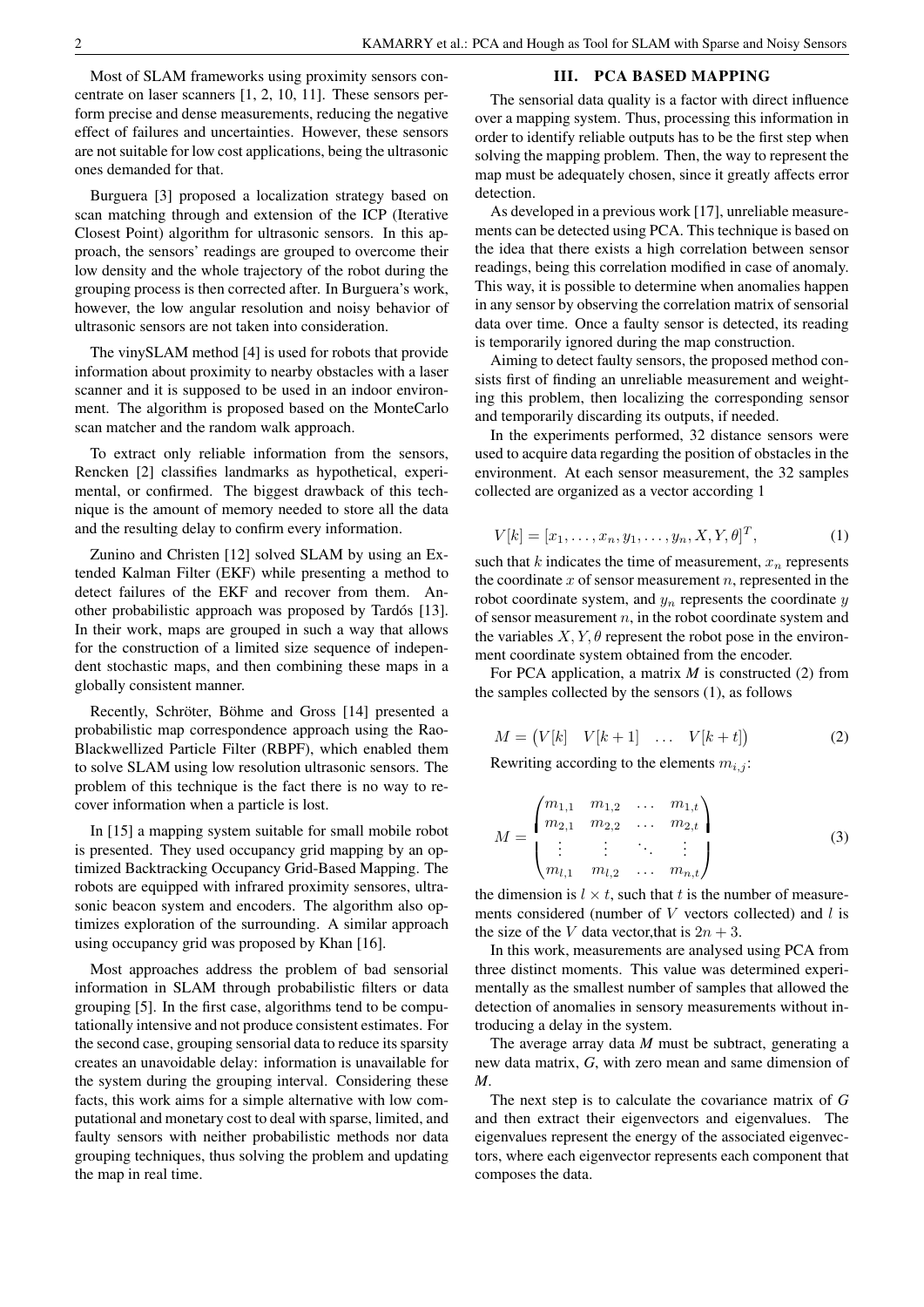Most of SLAM frameworks using proximity sensors concentrate on laser scanners [1, 2, 10, 11]. These sensors perform precise and dense measurements, reducing the negative effect of failures and uncertainties. However, these sensors are notsuitable for low cost applications, being the ultrasonic ones demanded for that.

Burguera [3] proposed a localization strategy based on scan matching through and extension of the ICP (Iterative Closest Point) algorithm for ultrasonic sensors. In this approach, the sensors' readings are grouped to overcome their low density and the whole trajectory of the robot during the grouping process is then corrected after. In Burguera's work, however, the low angular resolution and noisy behavior of ultrasonic sensors are not taken into consideration.

The vinySLAM method [4] is used for robots that provide information about proximity to nearby obstacles with a laser scanner and it is supposed to be used in an indoor environment. The algorithm is proposed based on the MonteCarlo scan matcher and the random walk approach.

To extract only reliable information from the sensors, Rencken [2] classifies landmarks as hypothetical, experimental, or confirmed. The biggest drawback of this technique is the amount of memory needed to store all the data and the resulting delay to confirm every information.

other probabilistic approach was proposed by Tardós [13]. Zunino and Christen [12] solved SLAM by using an Extended Kalman Filter (EKF) while presenting a method to detect failures of the EKF and recover from them. An-In their work, maps are grouped in such a way that allows for the construction of a limited size sequence of independent stochastic maps, and then combining these maps in a globally consistent manner.

Recently, Schröter, Böhme and Gross [14] presented a probabilistic map correspondence approach using the Rao-Blackwellized Particle Filter (RBPF), which enabled them to solve SLAM using low resolution ultrasonic sensors. The problem of this technique is the fact there is no way to recover information when a particle is lost.

In [15] a mapping system suitable for small mobile robot is presented. They used occupancy grid mapping by an optimized Backtracking Occupancy Grid-Based Mapping. The robots are equipped with infrared proximity sensores, ultrasonic beacon system and encoders. The algorithm also optimizes exploration of the surrounding. A similar approach using occupancy grid was proposed by Khan [16].

Most approaches address the problem of bad sensorial information in SLAM through probabilistic filters or data grouping [5]. In the first case, algorithms tend to be computationally intensive and not produce consistent estimates. For the second case, grouping sensorial data to reduce its sparsity creates an unavoidable delay: information is unavailable for the system during the grouping interval. Considering these facts, this work aims for a simple alternative with low computational and monetary cost to deal with sparse, limited, and faulty sensors with neither probabilistic methods nor data grouping techniques, thus solving the problem and updating the map in real time.

#### III. PCA BASED MAPPING

The sensorial data quality is a factor with direct influence over a mapping system. Thus, processing this information in order to identify reliable outputs has to be the first step when solving the mapping problem. Then, the way to represent the map must be adequately chosen, since it greatly affects error detection.

As developed in a previous work [17], unreliable measurements can be detected using PCA. This technique is based on the idea that there exists a high correlation between sensor readings, being this correlation modified in case of anomaly. This way, it is possible to determine when anomalies happen in any sensor by observing the correlation matrix of sensorial data over time. Once a faulty sensor is detected, its reading is temporarily ignored during the map construction.

Aiming to detect faulty sensors, the proposed method consists first of finding an unreliable measurement and weighting this problem, then localizing the corresponding sensor and temporarily discarding its outputs, if needed.

In the experiments performed, 32 distance sensors were used to acquire data regarding the position of obstacles in the environment. At each sensor measurement, the 32 samples collected are organized as a vector according 1

$$
V[k] = [x_1, \dots, x_n, y_1, \dots, y_n, X, Y, \theta]^T,
$$
 (1)

such that k indicates the time of measurement,  $x_n$  represents the coordinate  $x$  of sensor measurement  $n$ , represented in the robot coordinate system, and  $y_n$  represents the coordinate  $y$ of sensor measurement  $n$ , in the robot coordinate system and the variables  $X, Y, \theta$  represent the robot pose in the environment coordinate system obtained from the encoder.

For PCA application, a matrix *M* is constructed (2) from the samples collected by the sensors (1), as follows

$$
M = (V[k] \quad V[k+1] \quad \dots \quad V[k+t]) \tag{2}
$$

Rewriting according to the elements  $m_{i,j}$ :

$$
M = \begin{pmatrix} m_{1,1} & m_{1,2} & \dots & m_{1,t} \\ m_{2,1} & m_{2,2} & \dots & m_{2,t} \\ \vdots & \vdots & \ddots & \vdots \\ m_{l,1} & m_{l,2} & \dots & m_{n,t} \end{pmatrix}
$$
 (3)

the dimension is  $l \times t$ , such that t is the number of measurements considered (number of  $V$  vectors collected) and  $l$  is the size of the V data vector, that is  $2n + 3$ .

In this work, measurements are analysed using PCA from three distinct moments. This value was determined experimentally as the smallest number of samples that allowed the detection of anomalies in sensory measurements without introducing a delay in the system.

The average array data *M* must be subtract, generating a new data matrix, *G*, with zero mean and same dimension of *M*.

The next step is to calculate the covariance matrix of *G* and then extract their eigenvectors and eigenvalues. The eigenvalues represent the energy of the associated eigenvectors, where each eigenvector represents each component that composes the data.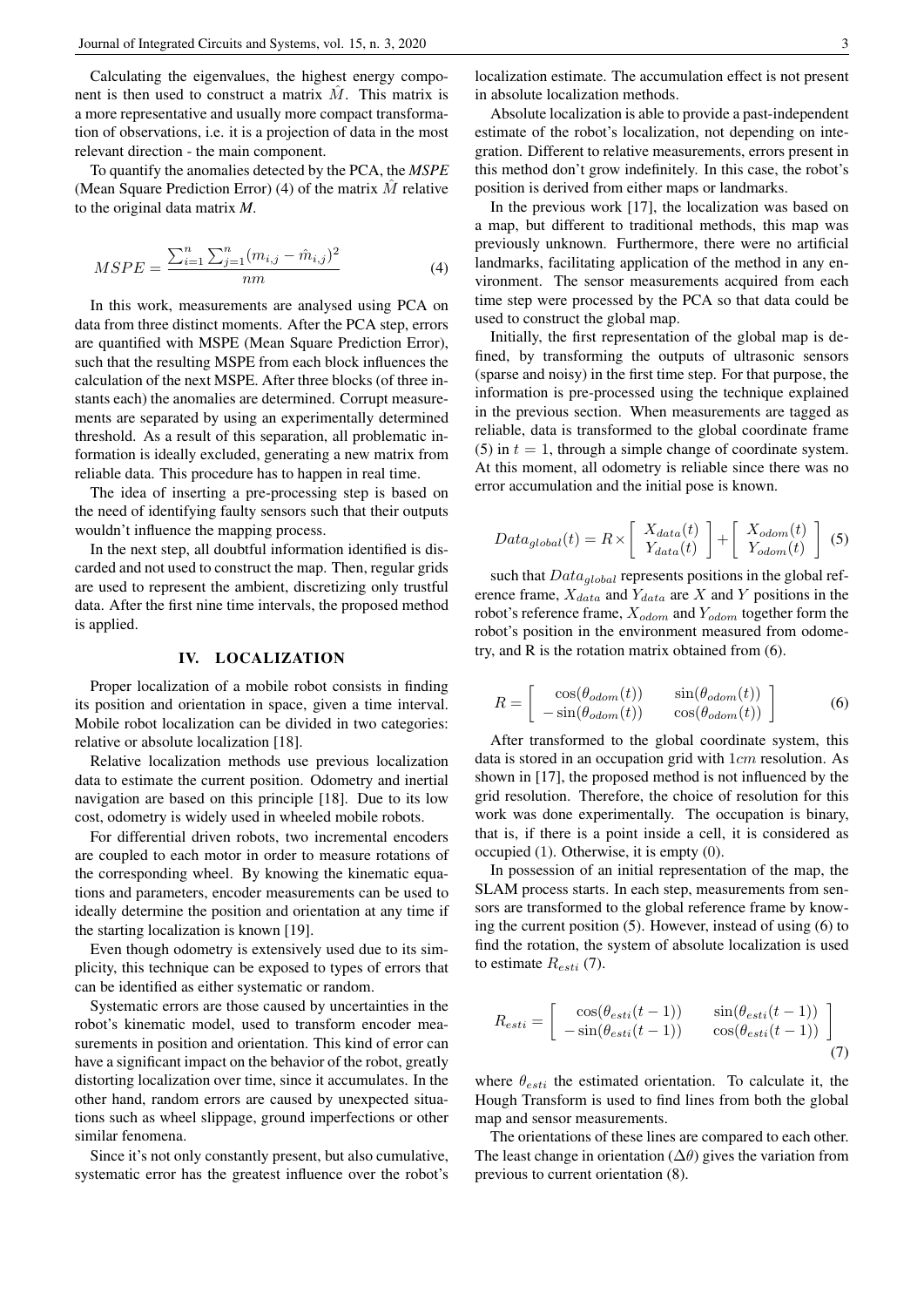Calculating the eigenvalues, the highest energy component is then used to construct a matrix  $\hat{M}$ . This matrix is a more representative and usually more compact transformation of observations, i.e. it is a projection of data in the most relevant direction - the main component.

To quantify the anomalies detected by the PCA, the *MSPE* (Mean Square Prediction Error) (4) of the matrix  $M$  relative to the original data matrix *M*.

$$
MSPE = \frac{\sum_{i=1}^{n} \sum_{j=1}^{n} (m_{i,j} - \hat{m}_{i,j})^2}{nm}
$$
(4)

In this work, measurements are analysed using PCA on data from three distinct moments. After the PCA step, errors are quantified with MSPE (Mean Square Prediction Error), such that the resulting MSPE from each block influences the calculation of the next MSPE. After three blocks (of three instants each) the anomalies are determined. Corrupt measurements are separated by using an experimentally determined threshold. As a result of this separation, all problematic information is ideally excluded, generating a new matrix from reliable data. This procedure has to happen in real time.

The idea of inserting a pre-processing step is based on the need of identifying faulty sensors such that their outputs wouldn't influence the mapping process.

In the next step, all doubtful information identified is discarded and not used to construct the map. Then, regular grids are used to represent the ambient, discretizing only trustful data. After the first nine time intervals, the proposed method is applied.

### IV. LOCALIZATION

Proper localization of a mobile robot consists in finding its position and orientation in space, given a time interval. Mobile robot localization can be divided in two categories: relative or absolute localization [18].

Relative localization methods use previous localization data to estimate the current position. Odometry and inertial navigation are based on this principle [18]. Due to its low cost, odometry is widely used in wheeled mobile robots.

For differential driven robots, two incremental encoders are coupled to each motor in order to measure rotations of the corresponding wheel. By knowing the kinematic equations and parameters, encoder measurements can be used to ideally determine the position and orientation at any time if the starting localization is known [19].

Even though odometry is extensively used due to its simplicity, this technique can be exposed to types of errors that can be identified as either systematic or random.

Systematic errors are those caused by uncertainties in the robot's kinematic model, used to transform encoder measurements in position and orientation. This kind of error can have a significant impact on the behavior of the robot, greatly distorting localization over time, since it accumulates. In the other hand, random errors are caused by unexpected situations such as wheel slippage, ground imperfections or other similar fenomena.

Since it's not only constantly present, but also cumulative, systematic error has the greatest influence over the robot's

Absolute localization is able to provide a past-independent estimate of the robot's localization, not depending on integration. Different to relative measurements, errors present in this method don't grow indefinitely. In this case, the robot's position is derived from either maps or landmarks.

In the previous work [17], the localization was based on a map, but different to traditional methods, this map was previously unknown. Furthermore, there were no artificial landmarks, facilitating application of the method in any environment. The sensor measurements acquired from each time step were processed by the PCA so that data could be used to construct the global map.

Initially, the first representation of the global map is defined, by transforming the outputs of ultrasonic sensors (sparse and noisy) in the first time step. For that purpose, the information is pre-processed using the technique explained in the previous section. When measurements are tagged as reliable, data is transformed to the global coordinate frame (5) in  $t = 1$ , through a simple change of coordinate system. At this moment, all odometry is reliable since there was no error accumulation and the initial pose is known.

$$
Data_{global}(t) = R \times \left[ \begin{array}{c} X_{data}(t) \\ Y_{data}(t) \end{array} \right] + \left[ \begin{array}{c} X_{odom}(t) \\ Y_{odom}(t) \end{array} \right] (5)
$$

such that  $Data_{global}$  represents positions in the global reference frame,  $X_{data}$  and  $Y_{data}$  are X and Y positions in the robot's reference frame,  $X_{odom}$  and  $Y_{odom}$  together form the robot's position in the environment measured from odometry, and R is the rotation matrix obtained from (6).

$$
R = \begin{bmatrix} \cos(\theta_{odom}(t)) & \sin(\theta_{odom}(t)) \\ -\sin(\theta_{odom}(t)) & \cos(\theta_{odom}(t)) \end{bmatrix}
$$
 (6)

After transformed to the global coordinate system, this data is stored in an occupation grid with 1cm resolution. As shown in [17], the proposed method is not influenced by the grid resolution. Therefore, the choice of resolution for this work was done experimentally. The occupation is binary, that is, if there is a point inside a cell, it is considered as occupied (1). Otherwise, it is empty (0).

In possession of an initial representation of the map, the SLAM process starts. In each step, measurements from sensors are transformed to the global reference frame by knowing the current position (5). However, instead of using (6) to find the rotation, the system of absolute localization is used to estimate  $R_{esti}$  (7).

$$
R_{esti} = \begin{bmatrix} \cos(\theta_{esti}(t-1)) & \sin(\theta_{esti}(t-1)) \\ -\sin(\theta_{esti}(t-1)) & \cos(\theta_{esti}(t-1)) \end{bmatrix}
$$
(7)

where  $\theta_{esti}$  the estimated orientation. To calculate it, the Hough Transform is used to find lines from both the global map and sensor measurements.

The orientations of these lines are compared to each other. The least change in orientation ( $\Delta\theta$ ) gives the variation from previous to current orientation (8).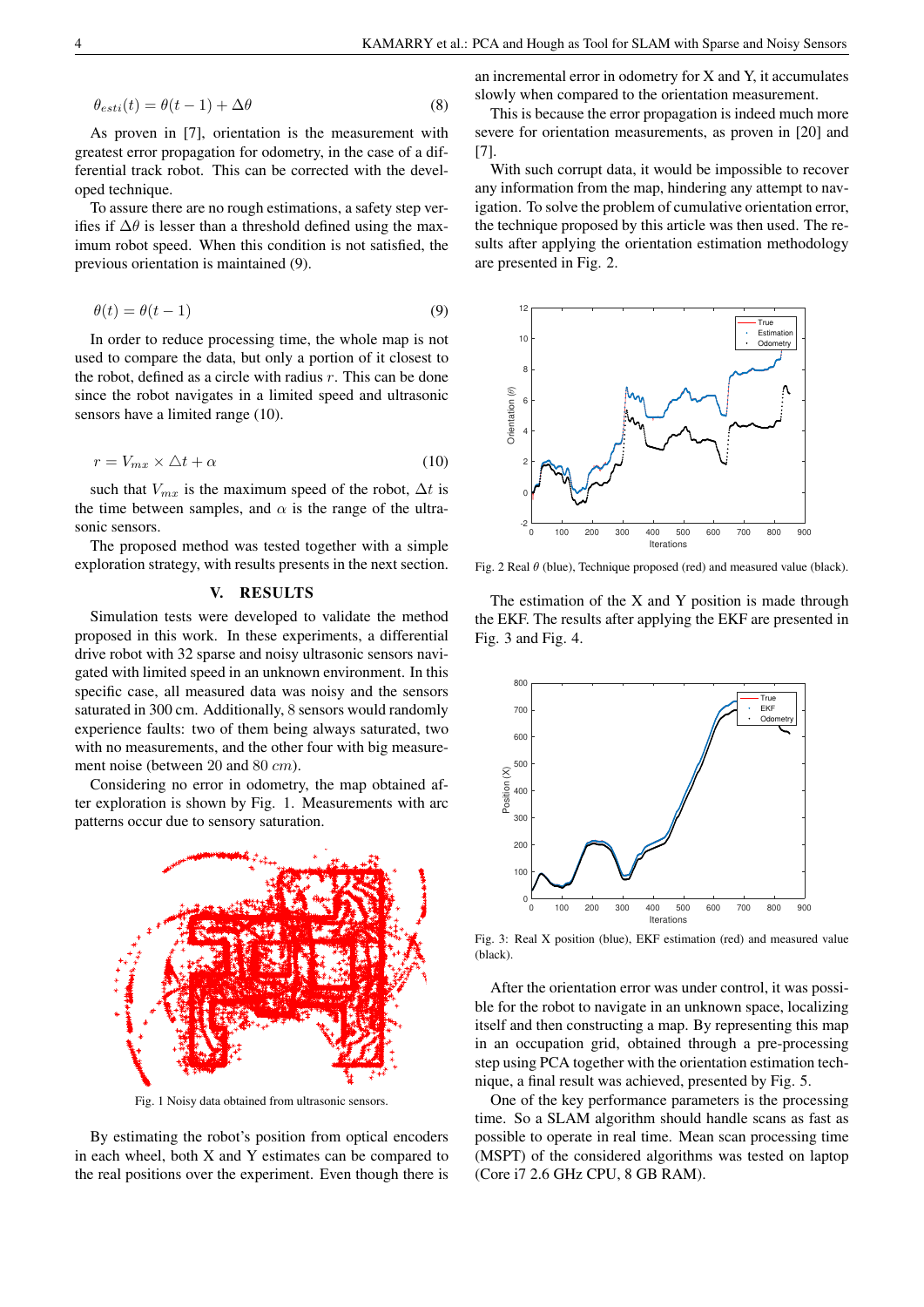$$
\theta_{esti}(t) = \theta(t-1) + \Delta\theta \tag{8}
$$

As proven in [7], orientation is the measurement with greatest error propagation for odometry, in the case of a differential track robot. This can be corrected with the developed technique.

To assure there are no rough estimations, a safety step verifies if  $\Delta\theta$  is lesser than a threshold defined using the maximum robot speed. When this condition is not satisfied, the previous orientation is maintained (9).

$$
\theta(t) = \theta(t - 1) \tag{9}
$$

In order to reduce processing time, the whole map is not used to compare the data, but only a portion of it closest to the robot, defined as a circle with radius  $r$ . This can be done since the robot navigates in a limited speed and ultrasonic sensors have a limited range (10).

$$
r = V_{mx} \times \triangle t + \alpha \tag{10}
$$

such that  $V_{mx}$  is the maximum speed of the robot,  $\Delta t$  is the time between samples, and  $\alpha$  is the range of the ultrasonic sensors.

The proposed method was tested together with a simple exploration strategy, with results presents in the next section.

## V. RESULTS

Simulation tests were developed to validate the method proposed in this work. In these experiments, a differential drive robot with 32 sparse and noisy ultrasonic sensors navigated with limited speed in an unknown environment. In this specific case, all measured data was noisy and the sensors saturated in 300 cm. Additionally, 8 sensors would randomly experience faults: two of them being always saturated, two with no measurements, and the other four with big measurement noise (between 20 and 80 cm).

Considering no error in odometry, the map obtained after exploration is shown by Fig. 1. Measurements with arc patterns occur due to sensory saturation.



Fig. 1 Noisy data obtained from ultrasonic sensors.

By estimating the robot's position from optical encoders in each wheel, both X and Y estimates can be compared to the real positions over the experiment. Even though there is an incremental error in odometry for X and Y, it accumulates slowly when compared to the orientation measurement.

This is because the error propagation is indeed much more severe for orientation measurements, as proven in [20] and [7].

With such corrupt data, it would be impossible to recover any information from the map, hindering any attempt to navigation. To solve the problem of cumulative orientation error, the technique proposed by this article was then used. The results after applying the orientation estimation methodology are presented in Fig. 2.



Fig. 2 Real  $\theta$  (blue), Technique proposed (red) and measured value (black).

The estimation of the X and Y position is made through the EKF. The results after applying the EKF are presented in Fig. 3 and Fig. 4.



Fig. 3: Real X position (blue), EKF estimation (red) and measured value (black).

After the orientation error was under control, it was possible for the robot to navigate in an unknown space, localizing itself and then constructing a map. By representing this map in an occupation grid, obtained through a pre-processing step using PCA together with the orientation estimation technique, a final result was achieved, presented by Fig. 5.

One of the key performance parameters is the processing time. So a SLAM algorithm should handle scans as fast as possible to operate in real time. Mean scan processing time (MSPT) of the considered algorithms was tested on laptop (Core i7 2.6 GHz CPU, 8 GB RAM).